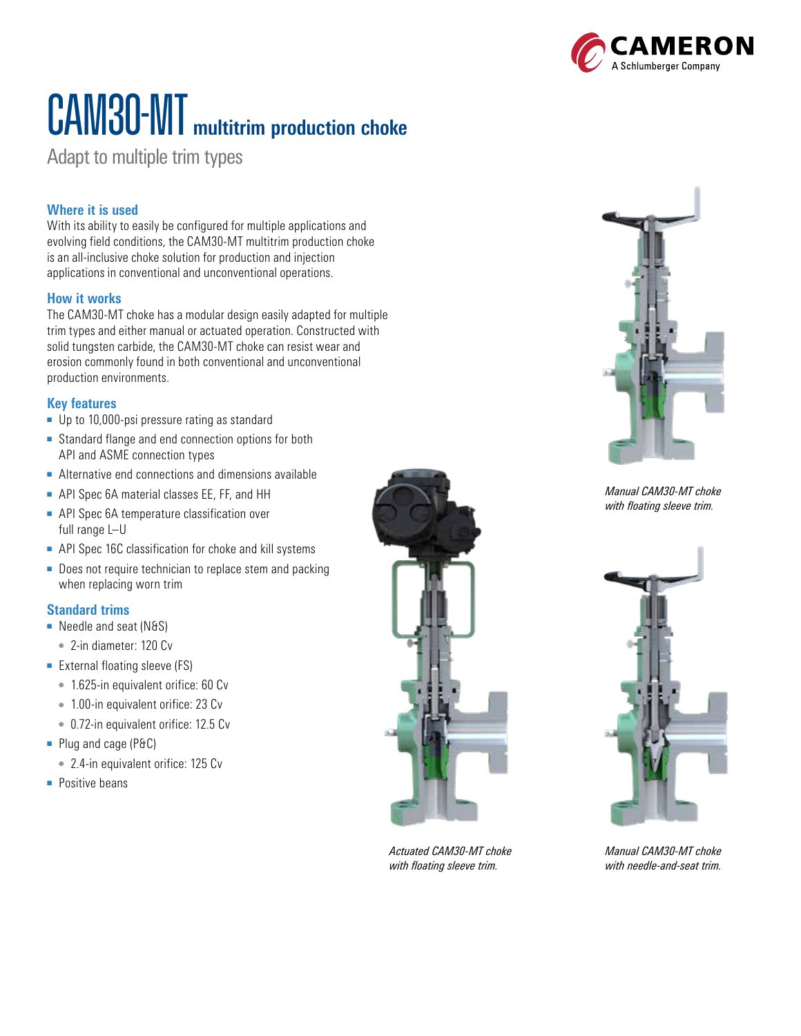

# CAM30-MT **multitrim production choke**

Adapt to multiple trim types

## **Where it is used**

With its ability to easily be configured for multiple applications and evolving field conditions, the CAM30-MT multitrim production choke is an all-inclusive choke solution for production and injection applications in conventional and unconventional operations.

#### **How it works**

The CAM30-MT choke has a modular design easily adapted for multiple trim types and either manual or actuated operation. Constructed with solid tungsten carbide, the CAM30-MT choke can resist wear and erosion commonly found in both conventional and unconventional production environments.

#### **Key features**

- Up to 10,000-psi pressure rating as standard
- Standard flange and end connection options for both API and ASME connection types
- Alternative end connections and dimensions available
- API Spec 6A material classes EE, FF, and HH
- API Spec 6A temperature classification over full range L–U
- API Spec 16C classification for choke and kill systems
- Does not require technician to replace stem and packing when replacing worn trim

#### **Standard trims**

- Needle and seat (N&S)
- 2-in diameter: 120 Cv
- External floating sleeve (FS)
	- 1.625-in equivalent orifice: 60 Cv
	- 1.00-in equivalent orifice: 23 Cv
	- 0.72-in equivalent orifice: 12.5 Cv
- Plug and cage (P&C)
	- 2.4-in equivalent orifice: 125 Cv
- Positive beans



*Actuated CAM30-MT choke with floating sleeve trim.*



*Manual CAM30-MT choke with floating sleeve trim.*



*Manual CAM30-MT choke with needle-and-seat trim.*